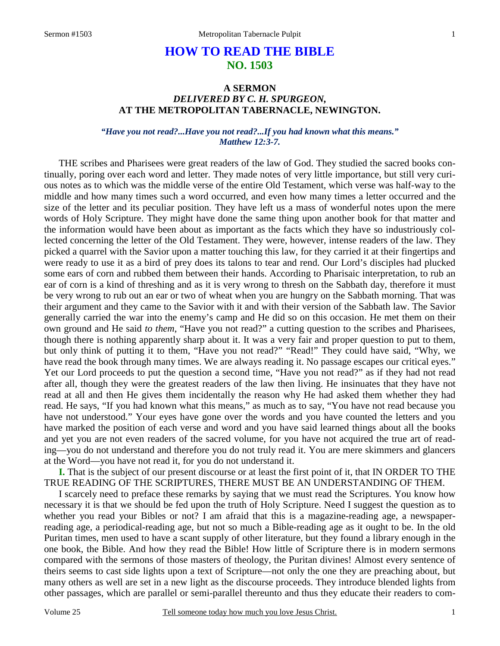# **HOW TO READ THE BIBLE NO. 1503**

## **A SERMON**  *DELIVERED BY C. H. SPURGEON,*  **AT THE METROPOLITAN TABERNACLE, NEWINGTON.**

#### *"Have you not read?...Have you not read?...If you had known what this means." Matthew 12:3-7.*

THE scribes and Pharisees were great readers of the law of God. They studied the sacred books continually, poring over each word and letter. They made notes of very little importance, but still very curious notes as to which was the middle verse of the entire Old Testament, which verse was half-way to the middle and how many times such a word occurred, and even how many times a letter occurred and the size of the letter and its peculiar position. They have left us a mass of wonderful notes upon the mere words of Holy Scripture. They might have done the same thing upon another book for that matter and the information would have been about as important as the facts which they have so industriously collected concerning the letter of the Old Testament. They were, however, intense readers of the law. They picked a quarrel with the Savior upon a matter touching this law, for they carried it at their fingertips and were ready to use it as a bird of prey does its talons to tear and rend. Our Lord's disciples had plucked some ears of corn and rubbed them between their hands. According to Pharisaic interpretation, to rub an ear of corn is a kind of threshing and as it is very wrong to thresh on the Sabbath day, therefore it must be very wrong to rub out an ear or two of wheat when you are hungry on the Sabbath morning. That was their argument and they came to the Savior with it and with their version of the Sabbath law. The Savior generally carried the war into the enemy's camp and He did so on this occasion. He met them on their own ground and He said *to them*, "Have you not read?" a cutting question to the scribes and Pharisees, though there is nothing apparently sharp about it. It was a very fair and proper question to put to them, but only think of putting it to them, "Have you not read?" "Read!" They could have said, "Why, we have read the book through many times. We are always reading it. No passage escapes our critical eyes." Yet our Lord proceeds to put the question a second time, "Have you not read?" as if they had not read after all, though they were the greatest readers of the law then living. He insinuates that they have not read at all and then He gives them incidentally the reason why He had asked them whether they had read. He says, "If you had known what this means," as much as to say, "You have not read because you have not understood." Your eyes have gone over the words and you have counted the letters and you have marked the position of each verse and word and you have said learned things about all the books and yet you are not even readers of the sacred volume, for you have not acquired the true art of reading—you do not understand and therefore you do not truly read it. You are mere skimmers and glancers at the Word—you have not read it, for you do not understand it.

**I.** That is the subject of our present discourse or at least the first point of it, that IN ORDER TO THE TRUE READING OF THE SCRIPTURES, THERE MUST BE AN UNDERSTANDING OF THEM.

 I scarcely need to preface these remarks by saying that we must read the Scriptures. You know how necessary it is that we should be fed upon the truth of Holy Scripture. Need I suggest the question as to whether you read your Bibles or not? I am afraid that this is a magazine-reading age, a newspaperreading age, a periodical-reading age, but not so much a Bible-reading age as it ought to be. In the old Puritan times, men used to have a scant supply of other literature, but they found a library enough in the one book, the Bible. And how they read the Bible! How little of Scripture there is in modern sermons compared with the sermons of those masters of theology, the Puritan divines! Almost every sentence of theirs seems to cast side lights upon a text of Scripture—not only the one they are preaching about, but many others as well are set in a new light as the discourse proceeds. They introduce blended lights from other passages, which are parallel or semi-parallel thereunto and thus they educate their readers to com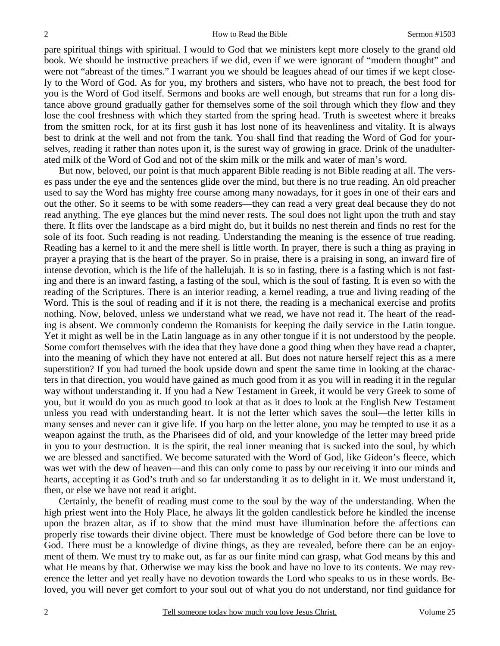pare spiritual things with spiritual. I would to God that we ministers kept more closely to the grand old book. We should be instructive preachers if we did, even if we were ignorant of "modern thought" and were not "abreast of the times." I warrant you we should be leagues ahead of our times if we kept closely to the Word of God. As for you, my brothers and sisters, who have not to preach, the best food for you is the Word of God itself. Sermons and books are well enough, but streams that run for a long distance above ground gradually gather for themselves some of the soil through which they flow and they lose the cool freshness with which they started from the spring head. Truth is sweetest where it breaks from the smitten rock, for at its first gush it has lost none of its heavenliness and vitality. It is always best to drink at the well and not from the tank. You shall find that reading the Word of God for yourselves, reading it rather than notes upon it, is the surest way of growing in grace. Drink of the unadulterated milk of the Word of God and not of the skim milk or the milk and water of man's word.

 But now, beloved, our point is that much apparent Bible reading is not Bible reading at all. The verses pass under the eye and the sentences glide over the mind, but there is no true reading. An old preacher used to say the Word has mighty free course among many nowadays, for it goes in one of their ears and out the other. So it seems to be with some readers—they can read a very great deal because they do not read anything. The eye glances but the mind never rests. The soul does not light upon the truth and stay there. It flits over the landscape as a bird might do, but it builds no nest therein and finds no rest for the sole of its foot. Such reading is not reading. Understanding the meaning is the essence of true reading. Reading has a kernel to it and the mere shell is little worth. In prayer, there is such a thing as praying in prayer a praying that is the heart of the prayer. So in praise, there is a praising in song, an inward fire of intense devotion, which is the life of the hallelujah. It is so in fasting, there is a fasting which is not fasting and there is an inward fasting, a fasting of the soul, which is the soul of fasting. It is even so with the reading of the Scriptures. There is an interior reading, a kernel reading, a true and living reading of the Word. This is the soul of reading and if it is not there, the reading is a mechanical exercise and profits nothing. Now, beloved, unless we understand what we read, we have not read it. The heart of the reading is absent. We commonly condemn the Romanists for keeping the daily service in the Latin tongue. Yet it might as well be in the Latin language as in any other tongue if it is not understood by the people. Some comfort themselves with the idea that they have done a good thing when they have read a chapter, into the meaning of which they have not entered at all. But does not nature herself reject this as a mere superstition? If you had turned the book upside down and spent the same time in looking at the characters in that direction, you would have gained as much good from it as you will in reading it in the regular way without understanding it. If you had a New Testament in Greek, it would be very Greek to some of you, but it would do you as much good to look at that as it does to look at the English New Testament unless you read with understanding heart. It is not the letter which saves the soul—the letter kills in many senses and never can it give life. If you harp on the letter alone, you may be tempted to use it as a weapon against the truth, as the Pharisees did of old, and your knowledge of the letter may breed pride in you to your destruction. It is the spirit, the real inner meaning that is sucked into the soul, by which we are blessed and sanctified. We become saturated with the Word of God, like Gideon's fleece, which was wet with the dew of heaven—and this can only come to pass by our receiving it into our minds and hearts, accepting it as God's truth and so far understanding it as to delight in it. We must understand it, then, or else we have not read it aright.

 Certainly, the benefit of reading must come to the soul by the way of the understanding. When the high priest went into the Holy Place, he always lit the golden candlestick before he kindled the incense upon the brazen altar, as if to show that the mind must have illumination before the affections can properly rise towards their divine object. There must be knowledge of God before there can be love to God. There must be a knowledge of divine things, as they are revealed, before there can be an enjoyment of them. We must try to make out, as far as our finite mind can grasp, what God means by this and what He means by that. Otherwise we may kiss the book and have no love to its contents. We may reverence the letter and yet really have no devotion towards the Lord who speaks to us in these words. Beloved, you will never get comfort to your soul out of what you do not understand, nor find guidance for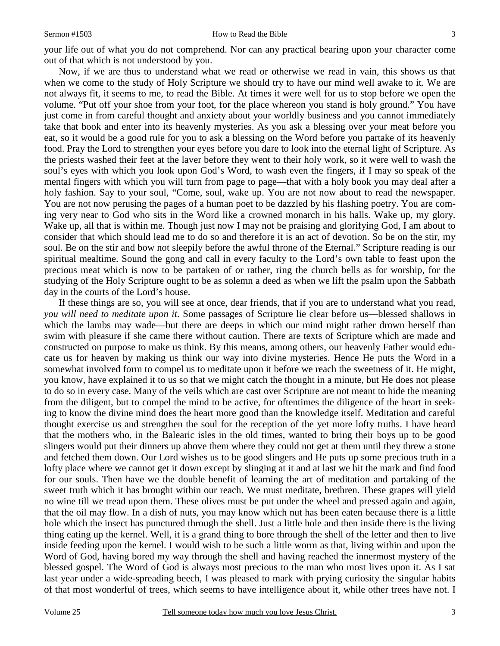your life out of what you do not comprehend. Nor can any practical bearing upon your character come out of that which is not understood by you.

 Now, if we are thus to understand what we read or otherwise we read in vain, this shows us that when we come to the study of Holy Scripture we should try to have our mind well awake to it. We are not always fit, it seems to me, to read the Bible. At times it were well for us to stop before we open the volume. "Put off your shoe from your foot, for the place whereon you stand is holy ground." You have just come in from careful thought and anxiety about your worldly business and you cannot immediately take that book and enter into its heavenly mysteries. As you ask a blessing over your meat before you eat, so it would be a good rule for you to ask a blessing on the Word before you partake of its heavenly food. Pray the Lord to strengthen your eyes before you dare to look into the eternal light of Scripture. As the priests washed their feet at the laver before they went to their holy work, so it were well to wash the soul's eyes with which you look upon God's Word, to wash even the fingers, if I may so speak of the mental fingers with which you will turn from page to page—that with a holy book you may deal after a holy fashion. Say to your soul, "Come, soul, wake up. You are not now about to read the newspaper. You are not now perusing the pages of a human poet to be dazzled by his flashing poetry. You are coming very near to God who sits in the Word like a crowned monarch in his halls. Wake up, my glory. Wake up, all that is within me. Though just now I may not be praising and glorifying God, I am about to consider that which should lead me to do so and therefore it is an act of devotion. So be on the stir, my soul. Be on the stir and bow not sleepily before the awful throne of the Eternal." Scripture reading is our spiritual mealtime. Sound the gong and call in every faculty to the Lord's own table to feast upon the precious meat which is now to be partaken of or rather, ring the church bells as for worship, for the studying of the Holy Scripture ought to be as solemn a deed as when we lift the psalm upon the Sabbath day in the courts of the Lord's house.

 If these things are so, you will see at once, dear friends, that if you are to understand what you read, *you will need to meditate upon it*. Some passages of Scripture lie clear before us—blessed shallows in which the lambs may wade—but there are deeps in which our mind might rather drown herself than swim with pleasure if she came there without caution. There are texts of Scripture which are made and constructed on purpose to make us think. By this means, among others, our heavenly Father would educate us for heaven by making us think our way into divine mysteries. Hence He puts the Word in a somewhat involved form to compel us to meditate upon it before we reach the sweetness of it. He might, you know, have explained it to us so that we might catch the thought in a minute, but He does not please to do so in every case. Many of the veils which are cast over Scripture are not meant to hide the meaning from the diligent, but to compel the mind to be active, for oftentimes the diligence of the heart in seeking to know the divine mind does the heart more good than the knowledge itself. Meditation and careful thought exercise us and strengthen the soul for the reception of the yet more lofty truths. I have heard that the mothers who, in the Balearic isles in the old times, wanted to bring their boys up to be good slingers would put their dinners up above them where they could not get at them until they threw a stone and fetched them down. Our Lord wishes us to be good slingers and He puts up some precious truth in a lofty place where we cannot get it down except by slinging at it and at last we hit the mark and find food for our souls. Then have we the double benefit of learning the art of meditation and partaking of the sweet truth which it has brought within our reach. We must meditate, brethren. These grapes will yield no wine till we tread upon them. These olives must be put under the wheel and pressed again and again, that the oil may flow. In a dish of nuts, you may know which nut has been eaten because there is a little hole which the insect has punctured through the shell. Just a little hole and then inside there is the living thing eating up the kernel. Well, it is a grand thing to bore through the shell of the letter and then to live inside feeding upon the kernel. I would wish to be such a little worm as that, living within and upon the Word of God, having bored my way through the shell and having reached the innermost mystery of the blessed gospel. The Word of God is always most precious to the man who most lives upon it. As I sat last year under a wide-spreading beech, I was pleased to mark with prying curiosity the singular habits of that most wonderful of trees, which seems to have intelligence about it, while other trees have not. I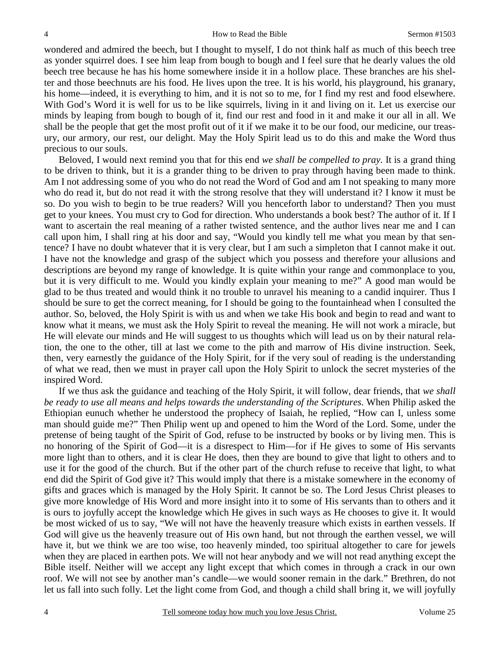wondered and admired the beech, but I thought to myself, I do not think half as much of this beech tree as yonder squirrel does. I see him leap from bough to bough and I feel sure that he dearly values the old beech tree because he has his home somewhere inside it in a hollow place. These branches are his shelter and those beechnuts are his food. He lives upon the tree. It is his world, his playground, his granary, his home—indeed, it is everything to him, and it is not so to me, for I find my rest and food elsewhere. With God's Word it is well for us to be like squirrels, living in it and living on it. Let us exercise our minds by leaping from bough to bough of it, find our rest and food in it and make it our all in all. We shall be the people that get the most profit out of it if we make it to be our food, our medicine, our treasury, our armory, our rest, our delight. May the Holy Spirit lead us to do this and make the Word thus precious to our souls.

 Beloved, I would next remind you that for this end *we shall be compelled to pray*. It is a grand thing to be driven to think, but it is a grander thing to be driven to pray through having been made to think. Am I not addressing some of you who do not read the Word of God and am I not speaking to many more who do read it, but do not read it with the strong resolve that they will understand it? I know it must be so. Do you wish to begin to be true readers? Will you henceforth labor to understand? Then you must get to your knees. You must cry to God for direction. Who understands a book best? The author of it. If I want to ascertain the real meaning of a rather twisted sentence, and the author lives near me and I can call upon him, I shall ring at his door and say, "Would you kindly tell me what you mean by that sentence? I have no doubt whatever that it is very clear, but I am such a simpleton that I cannot make it out. I have not the knowledge and grasp of the subject which you possess and therefore your allusions and descriptions are beyond my range of knowledge. It is quite within your range and commonplace to you, but it is very difficult to me. Would you kindly explain your meaning to me?" A good man would be glad to be thus treated and would think it no trouble to unravel his meaning to a candid inquirer. Thus I should be sure to get the correct meaning, for I should be going to the fountainhead when I consulted the author. So, beloved, the Holy Spirit is with us and when we take His book and begin to read and want to know what it means, we must ask the Holy Spirit to reveal the meaning. He will not work a miracle, but He will elevate our minds and He will suggest to us thoughts which will lead us on by their natural relation, the one to the other, till at last we come to the pith and marrow of His divine instruction. Seek, then, very earnestly the guidance of the Holy Spirit, for if the very soul of reading is the understanding of what we read, then we must in prayer call upon the Holy Spirit to unlock the secret mysteries of the inspired Word.

 If we thus ask the guidance and teaching of the Holy Spirit, it will follow, dear friends, that *we shall be ready to use all means and helps towards the understanding of the Scriptures*. When Philip asked the Ethiopian eunuch whether he understood the prophecy of Isaiah, he replied, "How can I, unless some man should guide me?" Then Philip went up and opened to him the Word of the Lord. Some, under the pretense of being taught of the Spirit of God, refuse to be instructed by books or by living men. This is no honoring of the Spirit of God—it is a disrespect to Him—for if He gives to some of His servants more light than to others, and it is clear He does, then they are bound to give that light to others and to use it for the good of the church. But if the other part of the church refuse to receive that light, to what end did the Spirit of God give it? This would imply that there is a mistake somewhere in the economy of gifts and graces which is managed by the Holy Spirit. It cannot be so. The Lord Jesus Christ pleases to give more knowledge of His Word and more insight into it to some of His servants than to others and it is ours to joyfully accept the knowledge which He gives in such ways as He chooses to give it. It would be most wicked of us to say, "We will not have the heavenly treasure which exists in earthen vessels. If God will give us the heavenly treasure out of His own hand, but not through the earthen vessel, we will have it, but we think we are too wise, too heavenly minded, too spiritual altogether to care for jewels when they are placed in earthen pots. We will not hear anybody and we will not read anything except the Bible itself. Neither will we accept any light except that which comes in through a crack in our own roof. We will not see by another man's candle—we would sooner remain in the dark." Brethren, do not let us fall into such folly. Let the light come from God, and though a child shall bring it, we will joyfully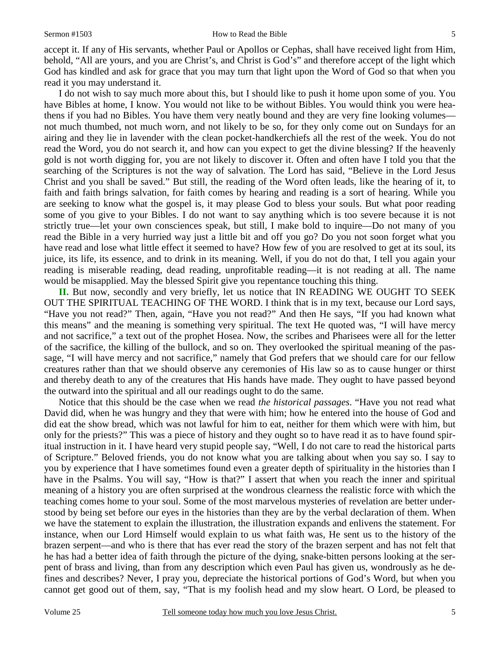accept it. If any of His servants, whether Paul or Apollos or Cephas, shall have received light from Him, behold, "All are yours, and you are Christ's, and Christ is God's" and therefore accept of the light which God has kindled and ask for grace that you may turn that light upon the Word of God so that when you read it you may understand it.

 I do not wish to say much more about this, but I should like to push it home upon some of you. You have Bibles at home, I know. You would not like to be without Bibles. You would think you were heathens if you had no Bibles. You have them very neatly bound and they are very fine looking volumes not much thumbed, not much worn, and not likely to be so, for they only come out on Sundays for an airing and they lie in lavender with the clean pocket-handkerchiefs all the rest of the week. You do not read the Word, you do not search it, and how can you expect to get the divine blessing? If the heavenly gold is not worth digging for, you are not likely to discover it. Often and often have I told you that the searching of the Scriptures is not the way of salvation. The Lord has said, "Believe in the Lord Jesus Christ and you shall be saved." But still, the reading of the Word often leads, like the hearing of it, to faith and faith brings salvation, for faith comes by hearing and reading is a sort of hearing. While you are seeking to know what the gospel is, it may please God to bless your souls. But what poor reading some of you give to your Bibles. I do not want to say anything which is too severe because it is not strictly true—let your own consciences speak, but still, I make bold to inquire—Do not many of you read the Bible in a very hurried way just a little bit and off you go? Do you not soon forget what you have read and lose what little effect it seemed to have? How few of you are resolved to get at its soul, its juice, its life, its essence, and to drink in its meaning. Well, if you do not do that, I tell you again your reading is miserable reading, dead reading, unprofitable reading—it is not reading at all. The name would be misapplied. May the blessed Spirit give you repentance touching this thing.

**II.** But now, secondly and very briefly, let us notice that IN READING WE OUGHT TO SEEK OUT THE SPIRITUAL TEACHING OF THE WORD. I think that is in my text, because our Lord says, "Have you not read?" Then, again, "Have you not read?" And then He says, "If you had known what this means" and the meaning is something very spiritual. The text He quoted was, "I will have mercy and not sacrifice," a text out of the prophet Hosea. Now, the scribes and Pharisees were all for the letter of the sacrifice, the killing of the bullock, and so on. They overlooked the spiritual meaning of the passage, "I will have mercy and not sacrifice," namely that God prefers that we should care for our fellow creatures rather than that we should observe any ceremonies of His law so as to cause hunger or thirst and thereby death to any of the creatures that His hands have made. They ought to have passed beyond the outward into the spiritual and all our readings ought to do the same.

 Notice that this should be the case when we read *the historical passages*. "Have you not read what David did, when he was hungry and they that were with him; how he entered into the house of God and did eat the show bread, which was not lawful for him to eat, neither for them which were with him, but only for the priests?" This was a piece of history and they ought so to have read it as to have found spiritual instruction in it. I have heard very stupid people say, "Well, I do not care to read the historical parts of Scripture." Beloved friends, you do not know what you are talking about when you say so. I say to you by experience that I have sometimes found even a greater depth of spirituality in the histories than I have in the Psalms. You will say, "How is that?" I assert that when you reach the inner and spiritual meaning of a history you are often surprised at the wondrous clearness the realistic force with which the teaching comes home to your soul. Some of the most marvelous mysteries of revelation are better understood by being set before our eyes in the histories than they are by the verbal declaration of them. When we have the statement to explain the illustration, the illustration expands and enlivens the statement. For instance, when our Lord Himself would explain to us what faith was, He sent us to the history of the brazen serpent—and who is there that has ever read the story of the brazen serpent and has not felt that he has had a better idea of faith through the picture of the dying, snake-bitten persons looking at the serpent of brass and living, than from any description which even Paul has given us, wondrously as he defines and describes? Never, I pray you, depreciate the historical portions of God's Word, but when you cannot get good out of them, say, "That is my foolish head and my slow heart. O Lord, be pleased to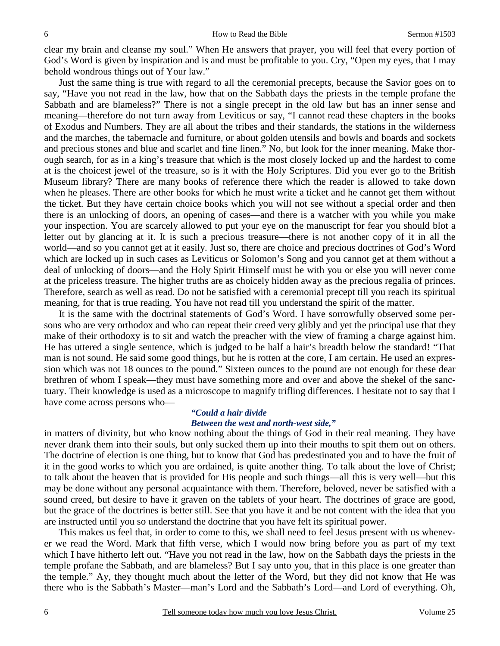clear my brain and cleanse my soul." When He answers that prayer, you will feel that every portion of God's Word is given by inspiration and is and must be profitable to you. Cry, "Open my eyes, that I may behold wondrous things out of Your law."

 Just the same thing is true with regard to all the ceremonial precepts, because the Savior goes on to say, "Have you not read in the law, how that on the Sabbath days the priests in the temple profane the Sabbath and are blameless?" There is not a single precept in the old law but has an inner sense and meaning—therefore do not turn away from Leviticus or say, "I cannot read these chapters in the books of Exodus and Numbers. They are all about the tribes and their standards, the stations in the wilderness and the marches, the tabernacle and furniture, or about golden utensils and bowls and boards and sockets and precious stones and blue and scarlet and fine linen." No, but look for the inner meaning. Make thorough search, for as in a king's treasure that which is the most closely locked up and the hardest to come at is the choicest jewel of the treasure, so is it with the Holy Scriptures. Did you ever go to the British Museum library? There are many books of reference there which the reader is allowed to take down when he pleases. There are other books for which he must write a ticket and he cannot get them without the ticket. But they have certain choice books which you will not see without a special order and then there is an unlocking of doors, an opening of cases—and there is a watcher with you while you make your inspection. You are scarcely allowed to put your eye on the manuscript for fear you should blot a letter out by glancing at it. It is such a precious treasure—there is not another copy of it in all the world—and so you cannot get at it easily. Just so, there are choice and precious doctrines of God's Word which are locked up in such cases as Leviticus or Solomon's Song and you cannot get at them without a deal of unlocking of doors—and the Holy Spirit Himself must be with you or else you will never come at the priceless treasure. The higher truths are as choicely hidden away as the precious regalia of princes. Therefore, search as well as read. Do not be satisfied with a ceremonial precept till you reach its spiritual meaning, for that is true reading. You have not read till you understand the spirit of the matter.

 It is the same with the doctrinal statements of God's Word. I have sorrowfully observed some persons who are very orthodox and who can repeat their creed very glibly and yet the principal use that they make of their orthodoxy is to sit and watch the preacher with the view of framing a charge against him. He has uttered a single sentence, which is judged to be half a hair's breadth below the standard! "That man is not sound. He said some good things, but he is rotten at the core, I am certain. He used an expression which was not 18 ounces to the pound." Sixteen ounces to the pound are not enough for these dear brethren of whom I speak—they must have something more and over and above the shekel of the sanctuary. Their knowledge is used as a microscope to magnify trifling differences. I hesitate not to say that I have come across persons who—

### *"Could a hair divide Between the west and north-west side,"*

in matters of divinity, but who know nothing about the things of God in their real meaning. They have never drank them into their souls, but only sucked them up into their mouths to spit them out on others. The doctrine of election is one thing, but to know that God has predestinated you and to have the fruit of it in the good works to which you are ordained, is quite another thing. To talk about the love of Christ; to talk about the heaven that is provided for His people and such things—all this is very well—but this may be done without any personal acquaintance with them. Therefore, beloved, never be satisfied with a sound creed, but desire to have it graven on the tablets of your heart. The doctrines of grace are good, but the grace of the doctrines is better still. See that you have it and be not content with the idea that you are instructed until you so understand the doctrine that you have felt its spiritual power.

 This makes us feel that, in order to come to this, we shall need to feel Jesus present with us whenever we read the Word. Mark that fifth verse, which I would now bring before you as part of my text which I have hitherto left out. "Have you not read in the law, how on the Sabbath days the priests in the temple profane the Sabbath, and are blameless? But I say unto you, that in this place is one greater than the temple." Ay, they thought much about the letter of the Word, but they did not know that He was there who is the Sabbath's Master—man's Lord and the Sabbath's Lord—and Lord of everything. Oh,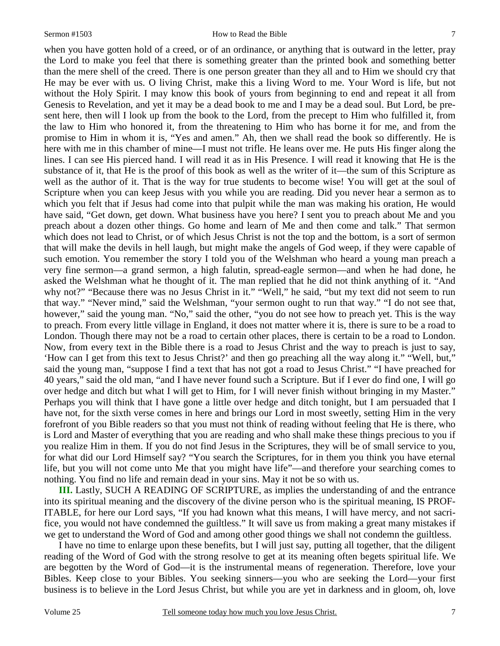when you have gotten hold of a creed, or of an ordinance, or anything that is outward in the letter, pray the Lord to make you feel that there is something greater than the printed book and something better than the mere shell of the creed. There is one person greater than they all and to Him we should cry that He may be ever with us. O living Christ, make this a living Word to me. Your Word is life, but not without the Holy Spirit. I may know this book of yours from beginning to end and repeat it all from Genesis to Revelation, and yet it may be a dead book to me and I may be a dead soul. But Lord, be present here, then will I look up from the book to the Lord, from the precept to Him who fulfilled it, from the law to Him who honored it, from the threatening to Him who has borne it for me, and from the promise to Him in whom it is, "Yes and amen." Ah, then we shall read the book so differently. He is here with me in this chamber of mine—I must not trifle. He leans over me. He puts His finger along the lines. I can see His pierced hand. I will read it as in His Presence. I will read it knowing that He is the substance of it, that He is the proof of this book as well as the writer of it—the sum of this Scripture as well as the author of it. That is the way for true students to become wise! You will get at the soul of Scripture when you can keep Jesus with you while you are reading. Did you never hear a sermon as to which you felt that if Jesus had come into that pulpit while the man was making his oration, He would have said, "Get down, get down. What business have you here? I sent you to preach about Me and you preach about a dozen other things. Go home and learn of Me and then come and talk." That sermon which does not lead to Christ, or of which Jesus Christ is not the top and the bottom, is a sort of sermon that will make the devils in hell laugh, but might make the angels of God weep, if they were capable of such emotion. You remember the story I told you of the Welshman who heard a young man preach a very fine sermon—a grand sermon, a high falutin, spread-eagle sermon—and when he had done, he asked the Welshman what he thought of it. The man replied that he did not think anything of it. "And why not?" "Because there was no Jesus Christ in it." "Well," he said, "but my text did not seem to run that way." "Never mind," said the Welshman, "your sermon ought to run that way." "I do not see that, however," said the young man. "No," said the other, "you do not see how to preach yet. This is the way to preach. From every little village in England, it does not matter where it is, there is sure to be a road to London. Though there may not be a road to certain other places, there is certain to be a road to London. Now, from every text in the Bible there is a road to Jesus Christ and the way to preach is just to say, 'How can I get from this text to Jesus Christ?' and then go preaching all the way along it." "Well, but," said the young man, "suppose I find a text that has not got a road to Jesus Christ." "I have preached for 40 years," said the old man, "and I have never found such a Scripture. But if I ever do find one, I will go over hedge and ditch but what I will get to Him, for I will never finish without bringing in my Master." Perhaps you will think that I have gone a little over hedge and ditch tonight, but I am persuaded that I have not, for the sixth verse comes in here and brings our Lord in most sweetly, setting Him in the very forefront of you Bible readers so that you must not think of reading without feeling that He is there, who is Lord and Master of everything that you are reading and who shall make these things precious to you if you realize Him in them. If you do not find Jesus in the Scriptures, they will be of small service to you, for what did our Lord Himself say? "You search the Scriptures, for in them you think you have eternal life, but you will not come unto Me that you might have life"—and therefore your searching comes to nothing. You find no life and remain dead in your sins. May it not be so with us.

**III.** Lastly, SUCH A READING OF SCRIPTURE, as implies the understanding of and the entrance into its spiritual meaning and the discovery of the divine person who is the spiritual meaning, IS PROF-ITABLE, for here our Lord says, "If you had known what this means, I will have mercy, and not sacrifice, you would not have condemned the guiltless." It will save us from making a great many mistakes if we get to understand the Word of God and among other good things we shall not condemn the guiltless.

 I have no time to enlarge upon these benefits, but I will just say, putting all together, that the diligent reading of the Word of God with the strong resolve to get at its meaning often begets spiritual life. We are begotten by the Word of God—it is the instrumental means of regeneration. Therefore, love your Bibles. Keep close to your Bibles. You seeking sinners—you who are seeking the Lord—your first business is to believe in the Lord Jesus Christ, but while you are yet in darkness and in gloom, oh, love